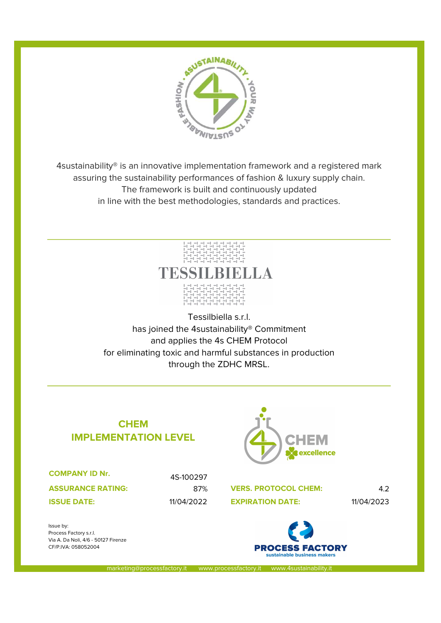

4sustainability® is an innovative implementation framework and a registered mark assuring the sustainability performances of fashion & luxury supply chain. The framework is built and continuously updated in line with the best methodologies, standards and practices.



Tessilbiella s.r.l. has joined the 4sustainability® Commitment and applies the 4s CHEM Protocol for eliminating toxic and harmful substances in production through the ZDHC MRSL.

## CHEM IMPLEMENTATION LEVEL

COMPANY ID Nr.

ASSURANCE RATING:

4S-100297

Issue by: Process Factory s.r.l. Via A. Da Noli, 4/6 - 50127 Firenze CF/P.IVA: 058052004



87% VERS. PROTOCOL CHEM: 4.2 **ISSUE DATE:** 11/04/2022 EXPIRATION DATE: 11/04/2023



marketing@processfactory.it www.processfactory.it www.4sustainability.i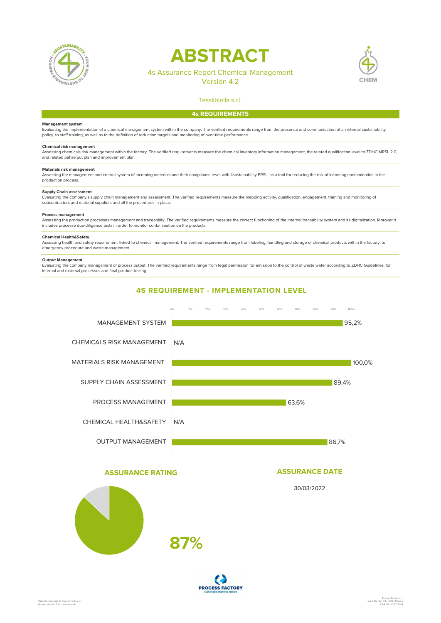

# ABSTRACT

## 4s Assurance Report Chemical Management

Version 4.2



## Tessilbiella s.r.l. 4s REQUIREMENTS

#### Management system

Evaluating the implementation of a chemical management system within the company. The verified requirements range from the presence and communication of an internal sustainability policy, to staff training, as well as to the definition of reduction targets and monitoring of over-time performance.

#### Chemical risk management

Assessing chemicals risk management within the factory. The verified requirements measure the chemical inventory information management, the related qualification level to ZDHC MRSL 2.0, and related pahse put plan and improvement plan.

#### Materials risk management

Assessing the management and control system of incoming materials and their compliance level with 4sustainability PRSL, as a tool for reducing the risk of incoming contamination in the production process.

#### Supply Chain assessment

Evaluating the company's supply chain management and assessment. The verified requirements measure the mapping activity, qualification, engagement, training and monitoring of subcontractors and material suppliers and all the procedures in place.

#### Process management

Assessing the production processes management and traceability. The verified requirements measure the correct functioning of the internal traceability system and its digitalization. Morover it includes processe due-diligence tests in order to monitor contamination on the products.

#### Chemical Health&Safety

Assessing health and safety requirement linked to chemical management. The verified requirements range from labeling, handling and storage of chemical products within the factory, to emergency procedure and waste management.

#### Output Management

Evaluating the company managament of process output. The verified requirements range from legal permission for emission to the control of waste water according to ZDHC Guidelines. for internal and external processes and final product testing.



#### ASSURANCE RATING

## ASSURANCE DATE

30/03/2022



**PROCESS FACTORY**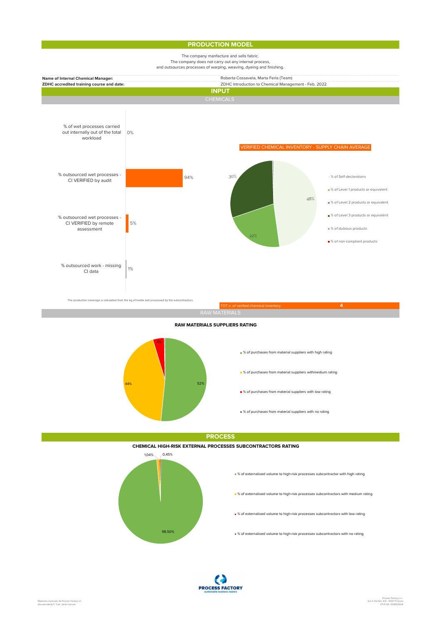### PRODUCTION MODEL

#### The company manfacture and sells fabric. The company does not carry out any internal process,



RAW MATERIALS SUPPLIERS RATING



**PROCESS** 

#### CHEMICAL HIGH-RISK EXTERNAL PROCESSES SUBCONTRACTORS RATING